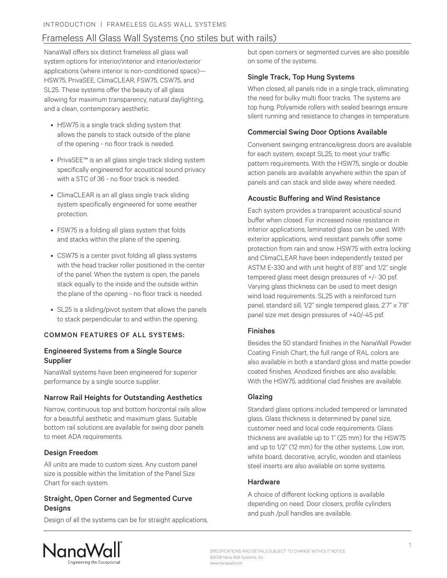## Frameless All Glass Wall Systems (no stiles but with rails)

NanaWall offers six distinct frameless all glass wall system options for interior/interior and interior/exterior applications (where interior is non-conditioned space)— HSW75, PrivaSEE, ClimaCLEAR, FSW75, CSW75, and SL25. These systems offer the beauty of all glass allowing for maximum transparency, natural daylighting, and a clean, contemporary aesthetic.

- HSW75 is a single track sliding system that allows the panels to stack outside of the plane of the opening - no floor track is needed.
- PrivaSEE™ is an all glass single track sliding system specifically engineered for acoustical sound privacy with a STC of 36 - no floor track is needed.
- ClimaCLEAR is an all glass single track sliding system specifically engineered for some weather protection.
- FSW75 is a folding all glass system that folds and stacks within the plane of the opening.
- CSW75 is a center pivot folding all glass systems with the head tracker roller positioned in the center of the panel. When the system is open, the panels stack equally to the inside and the outside within the plane of the opening - no floor track is needed.
- SL25 is a sliding/pivot system that allows the panels to stack perpendicular to and within the opening.

### COMMON FEATURES OF ALL SYSTEMS:

### Engineered Systems from a Single Source Supplier

NanaWall systems have been engineered for superior performance by a single source supplier.

### Narrow Rail Heights for Outstanding Aesthetics

Narrow, continuous top and bottom horizontal rails allow for a beautiful aesthetic and maximum glass. Suitable bottom rail solutions are available for swing door panels to meet ADA requirements.

### Design Freedom

All units are made to custom sizes. Any custom panel size is possible within the limitation of the Panel Size Chart for each system.

### Straight, Open Corner and Segmented Curve **Designs**

Design of all the systems can be for straight applications,

but open corners or segmented curves are also possible on some of the systems.

### Single Track, Top Hung Systems

When closed, all panels ride in a single track, eliminating the need for bulky multi floor tracks. The systems are top hung. Polyamide rollers with sealed bearings ensure silent running and resistance to changes in temperature.

### Commercial Swing Door Options Available

Convenient swinging entrance/egress doors are available for each system, except SL25, to meet your traffic pattern requirements. With the HSW75, single or double action panels are available anywhere within the span of panels and can stack and slide away where needed.

### Acoustic Buffering and Wind Resistance

Each system provides a transparent acoustical sound buffer when closed. For increased noise resistance in interior applications, laminated glass can be used. With exterior applications, wind resistant panels offer some protection from rain and snow. HSW75 with extra locking and ClimaCLEAR have been independently tested per ASTM E-330 and with unit height of 8'8" and 1/2" single tempered glass meet design pressures of +/- 30 psf. Varying glass thickness can be used to meet design wind load requirements. SL25 with a reinforced turn panel, standard sill, 1/2" single tempered glass, 2'7" x 7'8" panel size met design pressures of +40/-45 psf.

### Finishes

Besides the 50 standard finishes in the NanaWall Powder Coating Finish Chart, the full range of RAL colors are also available in both a standard gloss and matte powder coated finishes. Anodized finishes are also available. With the HSW75, additional clad finishes are available.

### Glazing

Standard glass options included tempered or laminated glass. Glass thickness is determined by panel size, customer need and local code requirements. Glass thickness are available up to 1" (25 mm) for the HSW75 and up to 1/2" (12 mm) for the other systems. Low iron, white board, decorative, acrylic, wooden and stainless steel inserts are also available on some systems.

### Hardware

A choice of different locking options is available depending on need. Door closers, profile cylinders and push /pull handles are available.

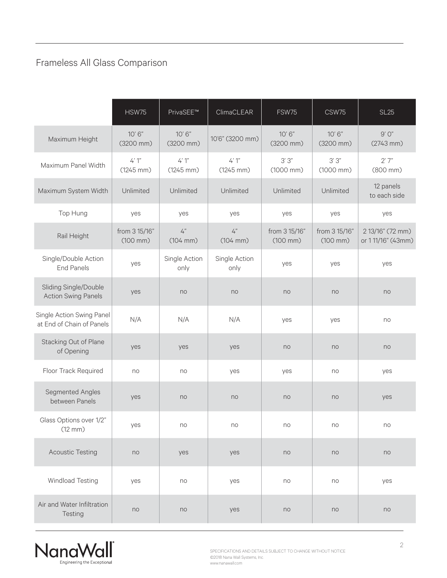# Frameless All Glass Comparison

|                                                        | <b>HSW75</b>                          | PrivaSEE™                    | ClimaCLEAR                   | FSW75                                 | CSW75                                 | <b>SL25</b>                           |
|--------------------------------------------------------|---------------------------------------|------------------------------|------------------------------|---------------------------------------|---------------------------------------|---------------------------------------|
| Maximum Height                                         | 10'6''<br>(3200 mm)                   | 10'6''<br>$(3200$ mm $)$     | 10'6" (3200 mm)              | 10'6''<br>(3200 mm)                   | 10'6''<br>(3200 mm)                   | $9'$ $0''$<br>$(2743$ mm $)$          |
| Maximum Panel Width                                    | $4'1''$<br>$(1245$ mm)                | $4'1''$<br>$(1245$ mm)       | $4'1''$<br>$(1245$ mm)       | 3'3'<br>$(1000$ mm $)$                | 3'3'<br>$(1000$ mm $)$                | 2'7''<br>(800 mm)                     |
| Maximum System Width                                   | Unlimited                             | Unlimited                    | Unlimited                    | Unlimited                             | Unlimited                             | 12 panels<br>to each side             |
| Top Hung                                               | yes                                   | yes                          | yes                          | yes                                   | yes                                   | yes                                   |
| Rail Height                                            | from 3 15/16"<br>$(100 \, \text{mm})$ | $4"$<br>$(104 \, \text{mm})$ | $4"$<br>$(104 \, \text{mm})$ | from 3 15/16"<br>$(100 \, \text{mm})$ | from 3 15/16"<br>$(100 \, \text{mm})$ | 2 13/16" (72 mm)<br>or 111/16" (43mm) |
| Single/Double Action<br><b>End Panels</b>              | yes                                   | Single Action<br>only        | Single Action<br>only        | yes                                   | yes                                   | yes                                   |
| Sliding Single/Double<br><b>Action Swing Panels</b>    | yes                                   | no                           | no                           | no                                    | no                                    | no                                    |
| Single Action Swing Panel<br>at End of Chain of Panels | N/A                                   | N/A                          | N/A                          | yes                                   | yes                                   | no                                    |
| <b>Stacking Out of Plane</b><br>of Opening             | yes                                   | yes                          | yes                          | no                                    | no                                    | no                                    |
| Floor Track Required                                   | no                                    | no                           | yes                          | yes                                   | no                                    | yes                                   |
| Segmented Angles<br>between Panels                     | yes                                   | no                           | no                           | no                                    | no                                    | yes                                   |
| Glass Options over 1/2"<br>(12 mm)                     | yes                                   | no                           | no                           | no                                    | no                                    | no                                    |
| <b>Acoustic Testing</b>                                | no                                    | yes                          | yes                          | no                                    | no                                    | no                                    |
| Windload Testing                                       | yes                                   | no                           | yes                          | no                                    | no                                    | yes                                   |
| Air and Water Infiltration<br>Testing                  | no                                    | no                           | yes                          | no                                    | no                                    | no                                    |

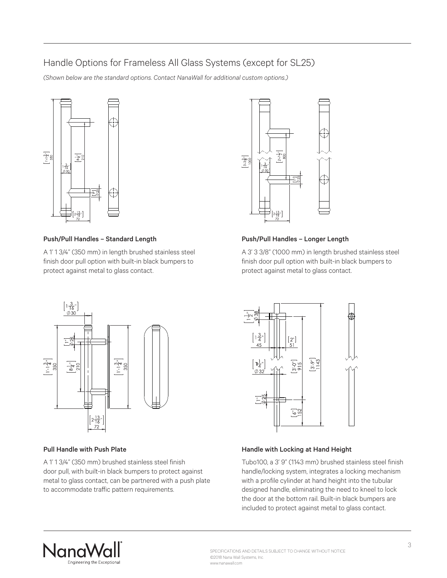## Handle Options for Frameless All Glass Systems (except for SL25)

*(Shown below are the standard options. Contact NanaWall for additional custom options.)*



### Push/Pull Handles – Standard Length

A 1' 1 3/4" (350 mm) in length brushed stainless steel finish door pull option with built-in black bumpers to protect against metal to glass contact.



### Push/Pull Handles – Longer Length

A 3' 3 3/8" (1000 mm) in length brushed stainless steel finish door pull option with built-in black bumpers to protect against metal to glass contact.



### Pull Handle with Push Plate

A 1' 1 3/4" (350 mm) brushed stainless steel finish door pull, with built-in black bumpers to protect against metal to glass contact, can be partnered with a push plate to accommodate traffic pattern requirements.



### Handle with Locking at Hand Height

Tubo100, a 3' 9" (1143 mm) brushed stainless steel finish handle/locking system, integrates a locking mechanism with a profile cylinder at hand height into the tubular designed handle, eliminating the need to kneel to lock the door at the bottom rail. Built-in black bumpers are included to protect against metal to glass contact.



SPECIFICATIONS AND DETAILS SUBJECT TO CHANGE WITHOUT NOTICE ©2018 Nana Wall Systems, Inc. www.nanawall.com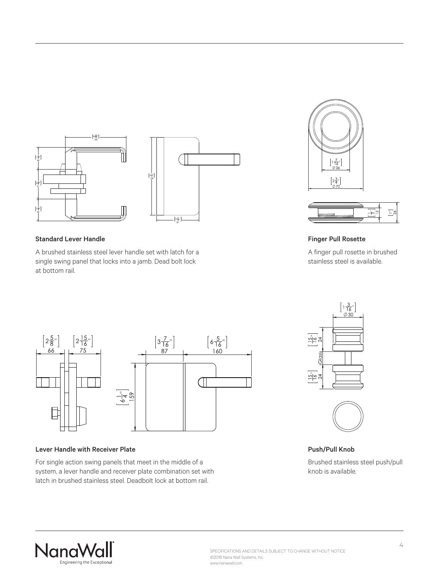

#### Standard Lever Handle

A brushed stainless steel lever handle set with latch for a single swing panel that locks into a jamb. Dead bolt lock at bottom rail.





### Finger Pull Rosette

A finger pull rosette in brushed stainless steel is available.



#### Lever Handle with Receiver Plate

For single action swing panels that meet in the middle of a system, a lever handle and receiver plate combination set with latch in brushed stainless steel. Deadbolt lock at bottom rail.





Push/Pull Knob

Brushed stainless steel push/pull knob is available.